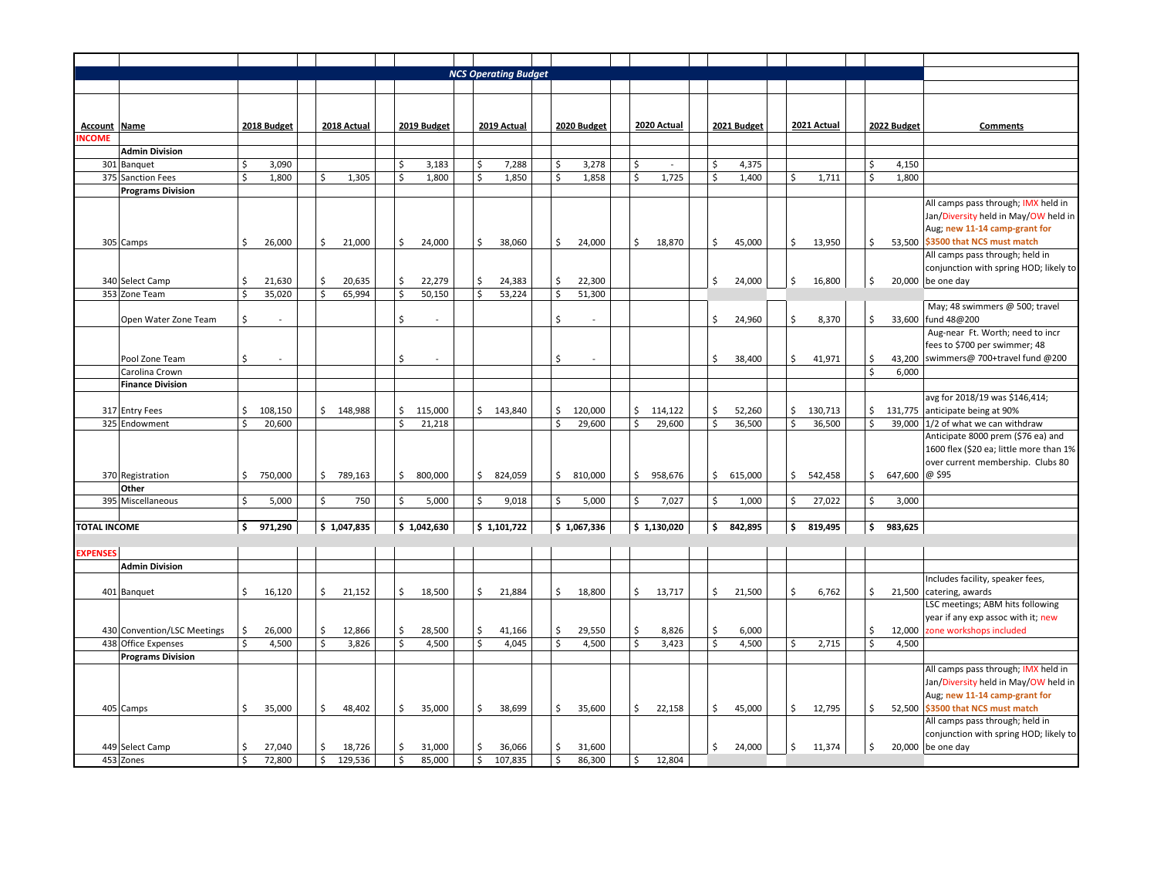|                     |                                 |              |             |    |             |                       |                    | <b>NCS Operating Budget</b> |    |             |          |             |                           |             |               |          |                |                                                                         |
|---------------------|---------------------------------|--------------|-------------|----|-------------|-----------------------|--------------------|-----------------------------|----|-------------|----------|-------------|---------------------------|-------------|---------------|----------|----------------|-------------------------------------------------------------------------|
|                     |                                 |              |             |    |             |                       |                    |                             |    |             |          |             |                           |             |               |          |                |                                                                         |
|                     |                                 |              |             |    |             |                       |                    |                             |    |             |          |             |                           |             |               |          |                |                                                                         |
| <b>Account</b>      | Name                            |              | 2018 Budget |    | 2018 Actual | 2019 Budget           |                    | 2019 Actual                 |    | 2020 Budget |          | 2020 Actual |                           | 2021 Budget | 2021 Actual   |          | 2022 Budget    | Comments                                                                |
| <b>NCOME</b>        |                                 |              |             |    |             |                       |                    |                             |    |             |          |             |                           |             |               |          |                |                                                                         |
|                     | <b>Admin Division</b>           |              |             |    |             |                       |                    |                             |    |             |          |             |                           |             |               |          |                |                                                                         |
|                     | 301 Banquet                     | \$           | 3,090       |    |             | $\mathsf{S}$<br>3,183 | \$                 | 7,288                       | \$ | 3,278       | \$       |             | \$                        | 4,375       |               | Ś        | 4,150          |                                                                         |
|                     | 375 Sanction Fees               | \$           | 1,800       | \$ | 1,305       | $\mathsf{S}$<br>1,800 | $\mathsf{\dot{S}}$ | 1,850                       | \$ | 1,858       | Ś.       | 1,725       | $\boldsymbol{\mathsf{S}}$ | 1,400       | \$<br>1,711   | \$       | 1,800          |                                                                         |
|                     | <b>Programs Division</b>        |              |             |    |             |                       |                    |                             |    |             |          |             |                           |             |               |          |                |                                                                         |
|                     |                                 |              |             |    |             |                       |                    |                             |    |             |          |             |                           |             |               |          |                | All camps pass through; IMX held in                                     |
|                     |                                 |              |             |    |             |                       |                    |                             |    |             |          |             |                           |             |               |          |                | Jan/Diversity held in May/OW held in                                    |
|                     |                                 |              |             |    |             |                       |                    |                             |    |             |          |             |                           |             |               |          |                | Aug; new 11-14 camp-grant for                                           |
|                     | 305 Camps                       | \$           | 26,000      | \$ | 21,000      | \$<br>24,000          | \$                 | 38,060                      | \$ | 24,000      | \$       | 18,870      | \$                        | 45,000      | \$<br>13,950  | \$       |                | 53,500 \$3500 that NCS must match<br>All camps pass through; held in    |
|                     |                                 |              |             |    |             |                       |                    |                             |    |             |          |             |                           |             |               |          |                | conjunction with spring HOD; likely to                                  |
|                     | 340 Select Camp                 | Ś            | 21,630      | \$ | 20,635      | \$<br>22,279          | \$                 | 24,383                      | \$ | 22,300      |          |             | \$                        | 24,000      | \$<br>16,800  | \$       |                | 20,000 be one day                                                       |
|                     | 353 Zone Team                   | $\mathsf{S}$ | 35,020      | \$ | 65,994      | \$<br>50,150          | \$                 | 53,224                      | Ś  | 51,300      |          |             |                           |             |               |          |                |                                                                         |
|                     |                                 |              |             |    |             |                       |                    |                             |    |             |          |             |                           |             |               |          |                | May; 48 swimmers @ 500; travel                                          |
|                     | Open Water Zone Team            | Ś            |             |    |             | \$                    |                    |                             | Ś  |             |          |             | \$                        | 24,960      | \$<br>8,370   | \$       |                | 33,600 fund 48@200                                                      |
|                     |                                 |              |             |    |             |                       |                    |                             |    |             |          |             |                           |             |               |          |                | Aug-near Ft. Worth; need to incr                                        |
|                     |                                 |              |             |    |             |                       |                    |                             |    |             |          |             |                           |             |               |          |                | fees to \$700 per swimmer; 48                                           |
|                     | Pool Zone Team                  | Ś            |             |    |             | \$                    |                    |                             | Ś  |             |          |             | \$                        | 38,400      | \$<br>41,971  | \$       |                | 43,200 swimmers@ 700+travel fund @200                                   |
|                     | Carolina Crown                  |              |             |    |             |                       |                    |                             |    |             |          |             |                           |             |               | Ś        | 6,000          |                                                                         |
|                     | <b>Finance Division</b>         |              |             |    |             |                       |                    |                             |    |             |          |             |                           |             |               |          |                |                                                                         |
|                     |                                 | \$           | 108,150     |    | \$148,988   | \$<br>115,000         |                    | \$143,840                   | \$ | 120,000     |          | 114,122     | \$                        | 52,260      | \$<br>130,713 |          |                | avg for 2018/19 was \$146,414;                                          |
|                     | 317 Entry Fees<br>325 Endowment | \$           | 20,600      |    |             | \$<br>21,218          |                    |                             | Ś  | 29,600      | \$<br>\$ | 29,600      | $\boldsymbol{\mathsf{S}}$ | 36,500      | \$<br>36,500  | \$<br>\$ |                | 131,775 anticipate being at 90%<br>39,000 $1/2$ of what we can withdraw |
|                     |                                 |              |             |    |             |                       |                    |                             |    |             |          |             |                           |             |               |          |                | Anticipate 8000 prem (\$76 ea) and                                      |
|                     |                                 |              |             |    |             |                       |                    |                             |    |             |          |             |                           |             |               |          |                | 1600 flex (\$20 ea; little more than 1%                                 |
|                     |                                 |              |             |    |             |                       |                    |                             |    |             |          |             |                           |             |               |          |                | over current membership. Clubs 80                                       |
|                     | 370 Registration                | \$           | 750,000     | \$ | 789,163     | \$<br>800,000         | \$                 | 824,059                     | \$ | 810,000     | \$       | 958,676     | \$                        | 615,000     | \$<br>542,458 | \$       | 647,600 @ \$95 |                                                                         |
|                     | Other                           |              |             |    |             |                       |                    |                             |    |             |          |             |                           |             |               |          |                |                                                                         |
|                     | 395 Miscellaneous               | \$           | 5,000       | \$ | 750         | \$<br>5,000           | \$                 | 9,018                       | \$ | 5,000       | \$       | 7,027       | \$                        | 1,000       | \$<br>27,022  | \$       | 3,000          |                                                                         |
|                     |                                 |              |             |    |             |                       |                    |                             |    |             |          |             |                           |             |               |          |                |                                                                         |
| <b>TOTAL INCOME</b> |                                 | \$           | 971,290     |    | \$1,047,835 | \$1,042,630           |                    | \$1,101,722                 |    | \$1,067,336 |          | \$1,130,020 | \$                        | 842,895     | 819,495<br>\$ | \$       | 983,625        |                                                                         |
|                     |                                 |              |             |    |             |                       |                    |                             |    |             |          |             |                           |             |               |          |                |                                                                         |
| <b>EXPENSES</b>     | <b>Admin Division</b>           |              |             |    |             |                       |                    |                             |    |             |          |             |                           |             |               |          |                |                                                                         |
|                     |                                 |              |             |    |             |                       |                    |                             |    |             |          |             |                           |             |               |          |                | Includes facility, speaker fees,                                        |
|                     | 401 Banquet                     | \$           | 16,120      | \$ | 21,152      | \$<br>18,500          | \$                 | 21,884                      | \$ | 18,800      | \$       | 13,717      | \$                        | 21,500      | \$<br>6,762   | \$       |                | 21,500 catering, awards                                                 |
|                     |                                 |              |             |    |             |                       |                    |                             |    |             |          |             |                           |             |               |          |                | LSC meetings; ABM hits following                                        |
|                     |                                 |              |             |    |             |                       |                    |                             |    |             |          |             |                           |             |               |          |                | year if any exp assoc with it; new                                      |
|                     | 430 Convention/LSC Meetings     | \$           | 26,000      | Ś  | 12,866      | \$<br>28,500          | \$                 | 41,166                      | \$ | 29,550      | \$       | 8,826       | \$                        | 6,000       |               | Ś        |                | 12,000 zone workshops included                                          |
|                     | 438 Office Expenses             | Ś            | 4,500       | \$ | 3,826       | \$<br>4,500           | \$                 | 4,045                       | Ś  | 4,500       | Ŝ.       | 3,423       | $\boldsymbol{\mathsf{S}}$ | 4,500       | \$<br>2,715   | \$       | 4,500          |                                                                         |
|                     | <b>Programs Division</b>        |              |             |    |             |                       |                    |                             |    |             |          |             |                           |             |               |          |                |                                                                         |
|                     |                                 |              |             |    |             |                       |                    |                             |    |             |          |             |                           |             |               |          |                | All camps pass through; IMX held in                                     |
|                     |                                 |              |             |    |             |                       |                    |                             |    |             |          |             |                           |             |               |          |                | Jan/Diversity held in May/OW held in                                    |
|                     |                                 |              |             |    |             |                       |                    |                             |    |             |          |             |                           |             |               |          |                | Aug; new 11-14 camp-grant for                                           |
|                     | 405 Camps                       | \$           | 35,000      | \$ | 48,402      | \$<br>35,000          | \$                 | 38,699                      | \$ | 35,600      | \$       | 22,158      | \$                        | 45,000      | \$<br>12,795  | \$       |                | 52,500 \$3500 that NCS must match<br>All camps pass through; held in    |
|                     |                                 |              |             |    |             |                       |                    |                             |    |             |          |             |                           |             |               |          |                | conjunction with spring HOD; likely to                                  |
|                     | 449 Select Camp                 | Ś            | 27,040      | Ś  | 18,726      | \$<br>31,000          | \$                 | 36,066                      | Ś. | 31,600      |          |             | \$                        | 24,000      | \$<br>11,374  | \$       |                | 20,000 be one day                                                       |
|                     | 453 Zones                       | Ś            | 72,800      | \$ | 129,536     | Ŝ.<br>85,000          | \$                 | 107,835                     | \$ | 86,300      | Ŝ.       | 12,804      |                           |             |               |          |                |                                                                         |
|                     |                                 |              |             |    |             |                       |                    |                             |    |             |          |             |                           |             |               |          |                |                                                                         |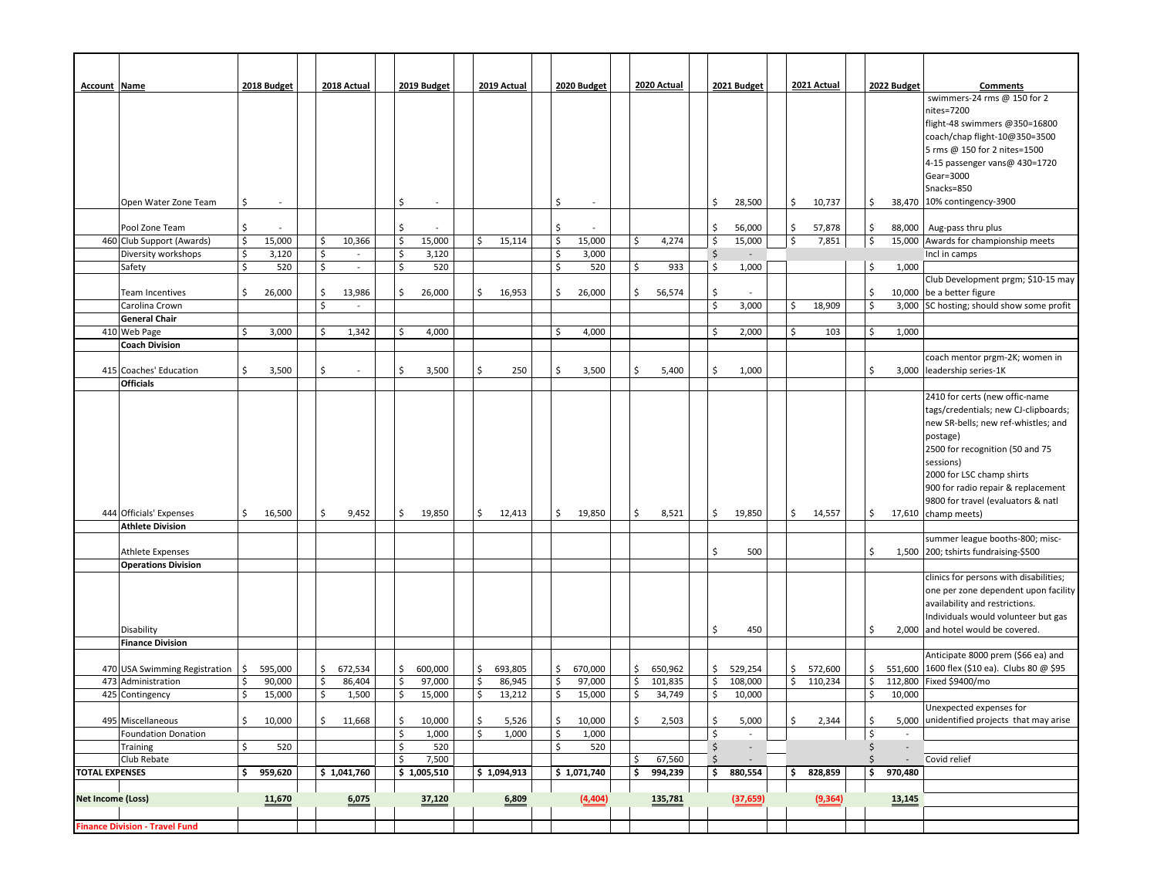| <b>Account Name</b>      |                                       |                     | 2018 Budget      |          | 2018 Actual            | 2019 Budget                  |          | 2019 Actual |          | 2020 Budget |          | 2020 Actual |         | 2021 Budget              | 2021 Actual   |          | 2022 Budget | Comments                                                               |
|--------------------------|---------------------------------------|---------------------|------------------|----------|------------------------|------------------------------|----------|-------------|----------|-------------|----------|-------------|---------|--------------------------|---------------|----------|-------------|------------------------------------------------------------------------|
|                          |                                       |                     |                  |          |                        |                              |          |             |          |             |          |             |         |                          |               |          |             | swimmers-24 rms @ 150 for 2                                            |
|                          |                                       |                     |                  |          |                        |                              |          |             |          |             |          |             |         |                          |               |          |             | nites=7200                                                             |
|                          |                                       |                     |                  |          |                        |                              |          |             |          |             |          |             |         |                          |               |          |             | flight-48 swimmers @350=16800                                          |
|                          |                                       |                     |                  |          |                        |                              |          |             |          |             |          |             |         |                          |               |          |             | coach/chap flight-10@350=3500<br>5 rms @ 150 for 2 nites=1500          |
|                          |                                       |                     |                  |          |                        |                              |          |             |          |             |          |             |         |                          |               |          |             | 4-15 passenger vans@ 430=1720                                          |
|                          |                                       |                     |                  |          |                        |                              |          |             |          |             |          |             |         |                          |               |          |             | Gear=3000                                                              |
|                          |                                       |                     |                  |          |                        |                              |          |             |          |             |          |             |         |                          |               |          |             | Snacks=850                                                             |
|                          | Open Water Zone Team                  | \$                  |                  |          |                        | \$                           |          |             | Ś        |             |          |             | \$      | 28,500                   | \$<br>10,737  | \$       |             | 38,470 10% contingency-3900                                            |
|                          |                                       |                     |                  |          |                        |                              |          |             |          |             |          |             |         |                          |               |          |             |                                                                        |
|                          | Pool Zone Team                        | $\zeta$             |                  |          |                        | \$                           |          |             | Ś        |             |          |             | \$      | 56,000                   | 57,878<br>\$  | \$       |             | 88,000   Aug-pass thru plus                                            |
|                          | 460 Club Support (Awards)             | $\zeta$             | 15,000           | \$       | 10,366                 | \$<br>15,000                 | \$       | 15,114      | \$       | 15,000      | \$.      | 4,274       | Ś       | 15,000                   | \$<br>7,851   | \$       |             | 15,000 Awards for championship meets                                   |
|                          | Diversity workshops                   | \$                  | 3,120            | \$       | $\omega$               | \$<br>3,120                  |          |             | \$       | 3,000       |          |             | $\zeta$ | $\overline{\phantom{a}}$ |               |          |             | Incl in camps                                                          |
|                          | Safety                                | $\mathsf{S}$        | 520              | \$       | $\blacksquare$         | \$<br>520                    |          |             | \$       | 520         | \$       | 933         | Ś       | 1,000                    |               | \$       | 1,000       |                                                                        |
|                          |                                       |                     |                  |          |                        |                              |          |             |          |             |          |             |         |                          |               |          |             | Club Development prgm; \$10-15 may                                     |
|                          | Team Incentives<br>Carolina Crown     | \$                  | 26,000           | \$<br>\$ | 13,986<br>$\mathbf{r}$ | \$<br>26,000                 | \$       | 16,953      | \$       | 26,000      | \$       | 56,574      | \$<br>Ś | 3,000                    | \$<br>18,909  | \$<br>\$ |             | 10,000 be a better figure<br>3,000 SC hosting; should show some profit |
|                          | <b>General Chair</b>                  |                     |                  |          |                        |                              |          |             |          |             |          |             |         |                          |               |          |             |                                                                        |
|                          | 410 Web Page                          | \$                  | 3,000            | \$       | 1,342                  | 4,000<br>\$                  |          |             | \$       | 4,000       |          |             | \$      | 2,000                    | \$<br>103     | \$       | 1,000       |                                                                        |
|                          | <b>Coach Division</b>                 |                     |                  |          |                        |                              |          |             |          |             |          |             |         |                          |               |          |             |                                                                        |
|                          |                                       |                     |                  |          |                        |                              |          |             |          |             |          |             |         |                          |               |          |             | coach mentor prgm-2K; women in                                         |
|                          | 415 Coaches' Education                | \$                  | 3,500            | \$       |                        | \$<br>3,500                  | \$       | 250         | \$       | 3,500       | \$       | 5,400       | Ś       | 1,000                    |               | \$       |             | 3,000 leadership series-1K                                             |
|                          | <b>Officials</b>                      |                     |                  |          |                        |                              |          |             |          |             |          |             |         |                          |               |          |             |                                                                        |
|                          |                                       |                     |                  |          |                        |                              |          |             |          |             |          |             |         |                          |               |          |             | 2410 for certs (new offic-name                                         |
|                          |                                       |                     |                  |          |                        |                              |          |             |          |             |          |             |         |                          |               |          |             | tags/credentials; new CJ-clipboards;                                   |
|                          |                                       |                     |                  |          |                        |                              |          |             |          |             |          |             |         |                          |               |          |             | new SR-bells; new ref-whistles; and                                    |
|                          |                                       |                     |                  |          |                        |                              |          |             |          |             |          |             |         |                          |               |          |             | postage)<br>2500 for recognition (50 and 75                            |
|                          |                                       |                     |                  |          |                        |                              |          |             |          |             |          |             |         |                          |               |          |             | sessions)                                                              |
|                          |                                       |                     |                  |          |                        |                              |          |             |          |             |          |             |         |                          |               |          |             | 2000 for LSC champ shirts                                              |
|                          |                                       |                     |                  |          |                        |                              |          |             |          |             |          |             |         |                          |               |          |             | 900 for radio repair & replacement                                     |
|                          |                                       |                     |                  |          |                        |                              |          |             |          |             |          |             |         |                          |               |          |             | 9800 for travel (evaluators & natl                                     |
|                          | 444 Officials' Expenses               | \$                  | 16,500           | Ś        | 9,452                  | \$<br>19,850                 | \$       | 12,413      | \$       | 19,850      | \$       | 8,521       | \$      | 19,850                   | \$<br>14,557  | \$       |             | 17,610 $\vert$ champ meets)                                            |
|                          | <b>Athlete Division</b>               |                     |                  |          |                        |                              |          |             |          |             |          |             |         |                          |               |          |             |                                                                        |
|                          |                                       |                     |                  |          |                        |                              |          |             |          |             |          |             |         |                          |               |          |             | summer league booths-800; misc-                                        |
|                          | <b>Athlete Expenses</b>               |                     |                  |          |                        |                              |          |             |          |             |          |             | Ś       | 500                      |               | \$       |             | 1,500 200; tshirts fundraising-\$500                                   |
|                          | <b>Operations Division</b>            |                     |                  |          |                        |                              |          |             |          |             |          |             |         |                          |               |          |             | clinics for persons with disabilities;                                 |
|                          |                                       |                     |                  |          |                        |                              |          |             |          |             |          |             |         |                          |               |          |             | one per zone dependent upon facility                                   |
|                          |                                       |                     |                  |          |                        |                              |          |             |          |             |          |             |         |                          |               |          |             | availability and restrictions.                                         |
|                          |                                       |                     |                  |          |                        |                              |          |             |          |             |          |             |         |                          |               |          |             | Individuals would volunteer but gas                                    |
|                          | Disability                            |                     |                  |          |                        |                              |          |             |          |             |          |             | Ś       | 450                      |               | \$       |             | 2,000 and hotel would be covered.                                      |
|                          | <b>Finance Division</b>               |                     |                  |          |                        |                              |          |             |          |             |          |             |         |                          |               |          |             |                                                                        |
|                          |                                       |                     |                  |          |                        |                              |          |             |          |             |          |             |         |                          |               |          |             | Anticipate 8000 prem (\$66 ea) and                                     |
|                          | 470 USA Swimming Registration         | $\ddot{\mathsf{S}}$ | 595,000          | \$       | 672,534                | \$<br>600,000                | \$       | 693,805     | \$       | 670,000     | \$       | 650,962     | \$      | 529,254                  | \$<br>572,600 | \$       |             | 551,600 1600 flex (\$10 ea). Clubs 80 @ \$95                           |
|                          | 473 Administration                    | \$                  | 90,000<br>15,000 | Ś<br>\$  | 86,404                 | \$<br>97,000<br>\$           | \$<br>\$ | 86,945      | \$<br>\$ | 97,000      | \$<br>\$ | 101,835     | Ś<br>Ś  | 108,000                  | \$<br>110,234 | \$<br>\$ |             | 112,800 Fixed \$9400/mo                                                |
|                          | 425 Contingency                       | \$                  |                  |          | 1,500                  | 15,000                       |          | 13,212      |          | 15,000      |          | 34,749      |         | 10,000                   |               |          | 10,000      | Unexpected expenses for                                                |
|                          | 495 Miscellaneous                     | \$                  | 10,000           | \$       | 11,668                 | \$<br>10,000                 | \$       | 5,526       | \$       | 10,000      | \$       | 2,503       | \$      | 5,000                    | \$<br>2,344   | \$       |             | 5,000 unidentified projects that may arise                             |
|                          | <b>Foundation Donation</b>            |                     |                  |          |                        | $\ddot{\mathsf{S}}$<br>1,000 | \$       | 1,000       | \$       | 1,000       |          |             | \$      | $\sim$                   |               | \$       | $\sim$      |                                                                        |
|                          | Training                              | \$                  | 520              |          |                        | \$<br>520                    |          |             | \$       | 520         |          |             | \$      | $\sim$                   |               | \$       | $\sim$      |                                                                        |
|                          | Club Rebate                           |                     |                  |          |                        | \$<br>7,500                  |          |             |          |             | \$       | 67,560      | $\zeta$ | $\sim$                   |               | \$       | $\sim$      | Covid relief                                                           |
| <b>TOTAL EXPENSES</b>    |                                       | \$                  | 959,620          |          | \$1,041,760            | \$1,005,510                  |          | \$1,094,913 |          | \$1,071,740 | \$       | 994,239     | \$      | 880,554                  | 828,859<br>\$ | \$       | 970,480     |                                                                        |
|                          |                                       |                     |                  |          |                        |                              |          |             |          |             |          |             |         |                          |               |          |             |                                                                        |
| <b>Net Income (Loss)</b> |                                       |                     | 11,670           |          | 6,075                  | 37,120                       |          | 6,809       |          | (4, 404)    |          | 135,781     |         | (37, 659)                | (9, 364)      |          | 13,145      |                                                                        |
|                          |                                       |                     |                  |          |                        |                              |          |             |          |             |          |             |         |                          |               |          |             |                                                                        |
|                          | <b>Finance Division - Travel Fund</b> |                     |                  |          |                        |                              |          |             |          |             |          |             |         |                          |               |          |             |                                                                        |